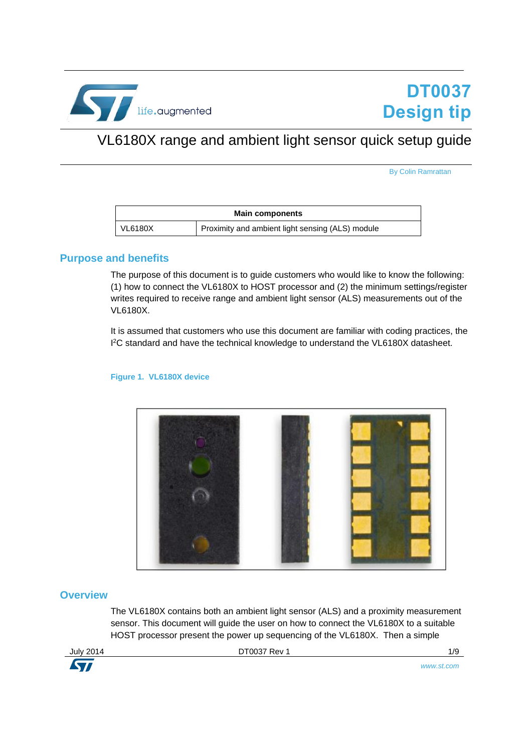

# <span id="page-0-0"></span>VL6180X range and ambient light sensor quick setup guide

By Colin Ramrattan

| <b>Main components</b> |                                                  |  |
|------------------------|--------------------------------------------------|--|
| VL6180X                | Proximity and ambient light sensing (ALS) module |  |

#### **Purpose and benefits**

The purpose of this document is to guide customers who would like to know the following: (1) how to connect the VL6180X to HOST processor and (2) the minimum settings/register writes required to receive range and ambient light sensor (ALS) measurements out of the VL6180X.

It is assumed that customers who use this document are familiar with coding practices, the <sup>12</sup>C standard and have the technical knowledge to understand the VL6180X datasheet.



#### **Figure 1. VL6180X device**

#### **Overview**

The VL6180X contains both an ambient light sensor (ALS) and a proximity measurement sensor. This document will guide the user on how to connect the VL6180X to a suitable HOST processor present the power up sequencing of the VL6180X. Then a simple

**STI** 

July 2014 **[DT0037](#page-0-0) Rev 1 DT0037 Rev 1 1/9** 

*www.st.com*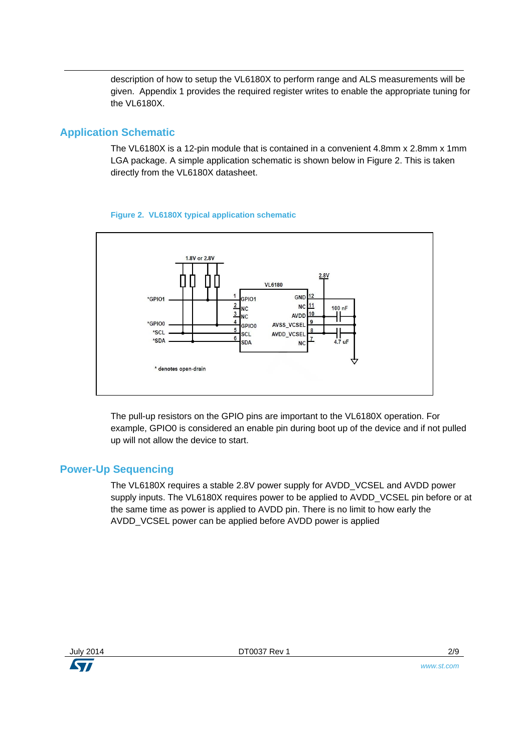description of how to setup the VL6180X to perform range and ALS measurements will be given. Appendix 1 provides the required register writes to enable the appropriate tuning for the VL6180X.

## **Application Schematic**

The VL6180X is a 12-pin module that is contained in a convenient 4.8mm x 2.8mm x 1mm LGA package. A simple application schematic is shown below in Figure 2. This is taken directly from the VL6180X datasheet.



#### **Figure 2. VL6180X typical application schematic**

The pull-up resistors on the GPIO pins are important to the VL6180X operation. For example, GPIO0 is considered an enable pin during boot up of the device and if not pulled up will not allow the device to start.

### **Power-Up Sequencing**

The VL6180X requires a stable 2.8V power supply for AVDD\_VCSEL and AVDD power supply inputs. The VL6180X requires power to be applied to AVDD\_VCSEL pin before or at the same time as power is applied to AVDD pin. There is no limit to how early the AVDD\_VCSEL power can be applied before AVDD power is applied

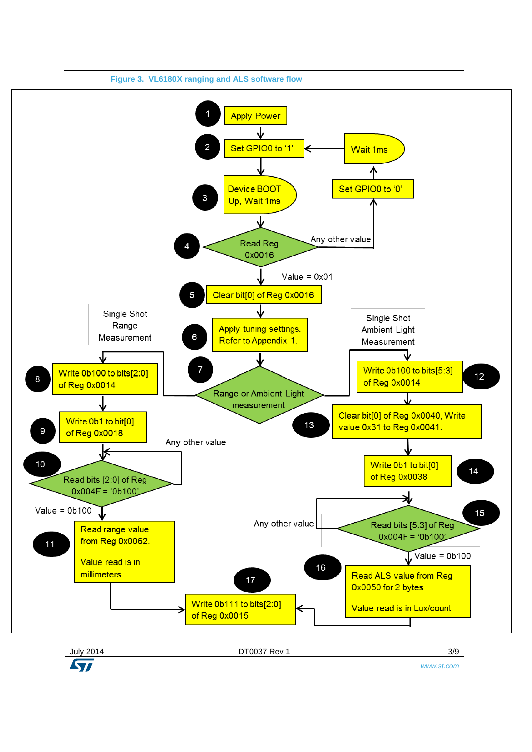

*www.st.com*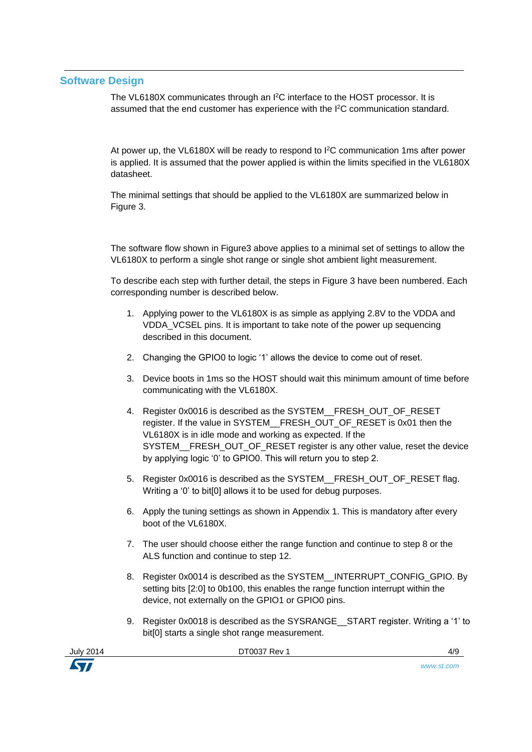### **Software Design**

The VL6180X communicates through an I<sup>2</sup>C interface to the HOST processor. It is assumed that the end customer has experience with the I <sup>2</sup>C communication standard.

At power up, the VL6180X will be ready to respond to I<sup>2</sup>C communication 1ms after power is applied. It is assumed that the power applied is within the limits specified in the VL6180X datasheet.

The minimal settings that should be applied to the VL6180X are summarized below in Figure 3.

The software flow shown in Figure3 above applies to a minimal set of settings to allow the VL6180X to perform a single shot range or single shot ambient light measurement.

To describe each step with further detail, the steps in Figure 3 have been numbered. Each corresponding number is described below.

- 1. Applying power to the VL6180X is as simple as applying 2.8V to the VDDA and VDDA\_VCSEL pins. It is important to take note of the power up sequencing described in this document.
- 2. Changing the GPIO0 to logic '1' allows the device to come out of reset.
- 3. Device boots in 1ms so the HOST should wait this minimum amount of time before communicating with the VL6180X.
- 4. Register 0x0016 is described as the SYSTEM\_\_FRESH\_OUT\_OF\_RESET register. If the value in SYSTEM\_\_FRESH\_OUT\_OF\_RESET is 0x01 then the VL6180X is in idle mode and working as expected. If the SYSTEM FRESH\_OUT\_OF\_RESET register is any other value, reset the device by applying logic '0' to GPIO0. This will return you to step 2.
- 5. Register 0x0016 is described as the SYSTEM\_\_FRESH\_OUT\_OF\_RESET flag. Writing a '0' to bit[0] allows it to be used for debug purposes.
- 6. Apply the tuning settings as shown in Appendix 1. This is mandatory after every boot of the VL6180X.
- 7. The user should choose either the range function and continue to step 8 or the ALS function and continue to step 12.
- 8. Register 0x0014 is described as the SYSTEM\_\_INTERRUPT\_CONFIG\_GPIO. By setting bits [2:0] to 0b100, this enables the range function interrupt within the device, not externally on the GPIO1 or GPIO0 pins.
- 9. Register 0x0018 is described as the SYSRANGE START register. Writing a '1' to bit[0] starts a single shot range measurement.



[DT0037](#page-0-0) Rev 1 4/9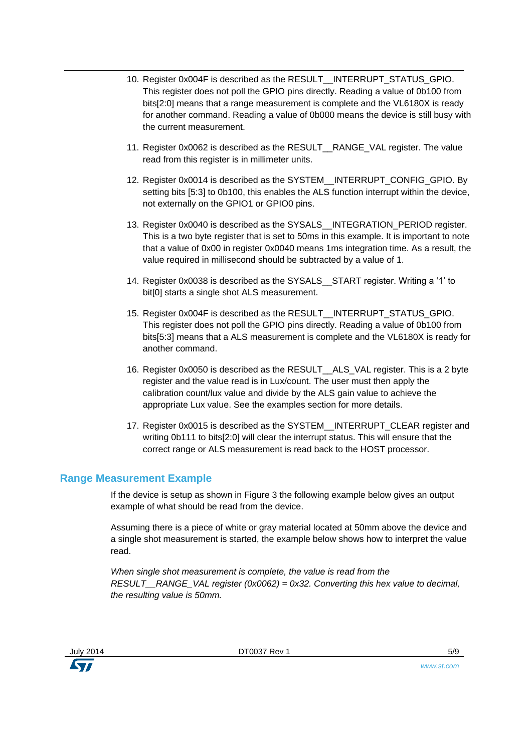- 10. Register 0x004F is described as the RESULT\_\_INTERRUPT\_STATUS\_GPIO. This register does not poll the GPIO pins directly. Reading a value of 0b100 from bits[2:0] means that a range measurement is complete and the VL6180X is ready for another command. Reading a value of 0b000 means the device is still busy with the current measurement.
- 11. Register 0x0062 is described as the RESULT\_\_RANGE\_VAL register. The value read from this register is in millimeter units.
- 12. Register 0x0014 is described as the SYSTEM\_\_INTERRUPT\_CONFIG\_GPIO. By setting bits [5:3] to 0b100, this enables the ALS function interrupt within the device, not externally on the GPIO1 or GPIO0 pins.
- 13. Register 0x0040 is described as the SYSALS\_\_INTEGRATION\_PERIOD register. This is a two byte register that is set to 50ms in this example. It is important to note that a value of 0x00 in register 0x0040 means 1ms integration time. As a result, the value required in millisecond should be subtracted by a value of 1.
- 14. Register 0x0038 is described as the SYSALS\_\_START register. Writing a '1' to bit[0] starts a single shot ALS measurement.
- 15. Register 0x004F is described as the RESULT\_\_INTERRUPT\_STATUS\_GPIO. This register does not poll the GPIO pins directly. Reading a value of 0b100 from bits[5:3] means that a ALS measurement is complete and the VL6180X is ready for another command.
- 16. Register 0x0050 is described as the RESULT\_\_ALS\_VAL register. This is a 2 byte register and the value read is in Lux/count. The user must then apply the calibration count/lux value and divide by the ALS gain value to achieve the appropriate Lux value. See the examples section for more details.
- 17. Register 0x0015 is described as the SYSTEM INTERRUPT\_CLEAR register and writing 0b111 to bits[2:0] will clear the interrupt status. This will ensure that the correct range or ALS measurement is read back to the HOST processor.

### **Range Measurement Example**

If the device is setup as shown in Figure 3 the following example below gives an output example of what should be read from the device.

Assuming there is a piece of white or gray material located at 50mm above the device and a single shot measurement is started, the example below shows how to interpret the value read.

*When single shot measurement is complete, the value is read from the RESULT\_\_RANGE\_VAL register (0x0062) = 0x32. Converting this hex value to decimal, the resulting value is 50mm.*



[DT0037](#page-0-0) Rev 1 5/9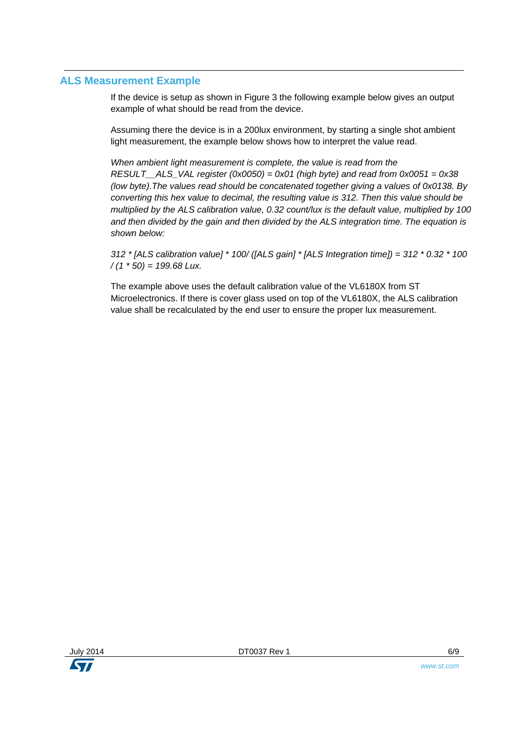### **ALS Measurement Example**

If the device is setup as shown in Figure 3 the following example below gives an output example of what should be read from the device.

Assuming there the device is in a 200lux environment, by starting a single shot ambient light measurement, the example below shows how to interpret the value read.

*When ambient light measurement is complete, the value is read from the RESULT\_\_ALS\_VAL register (0x0050) = 0x01 (high byte) and read from 0x0051 = 0x38 (low byte).The values read should be concatenated together giving a values of 0x0138. By converting this hex value to decimal, the resulting value is 312. Then this value should be multiplied by the ALS calibration value, 0.32 count/lux is the default value, multiplied by 100 and then divided by the gain and then divided by the ALS integration time. The equation is shown below:*

*312 \* [ALS calibration value] \* 100/ ([ALS gain] \* [ALS Integration time]) = 312 \* 0.32 \* 100 / (1 \* 50) = 199.68 Lux.*

The example above uses the default calibration value of the VL6180X from ST Microelectronics. If there is cover glass used on top of the VL6180X, the ALS calibration value shall be recalculated by the end user to ensure the proper lux measurement.

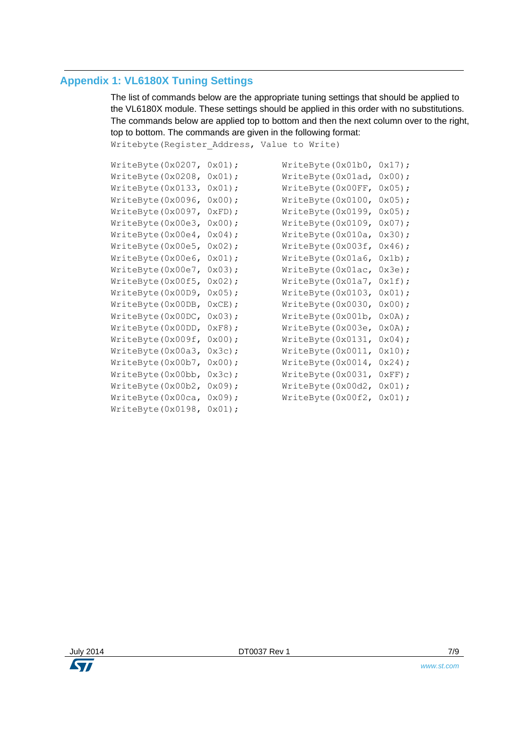## **Appendix 1: VL6180X Tuning Settings**

The list of commands below are the appropriate tuning settings that should be applied to the VL6180X module. These settings should be applied in this order with no substitutions. The commands below are applied top to bottom and then the next column over to the right, top to bottom. The commands are given in the following format:

Writebyte(Register Address, Value to Write)

| WriteByte(0x0207,  | $0x01$ ;         | WriteByte(0x01b0,  | $0x17$ );        |
|--------------------|------------------|--------------------|------------------|
| WriteByte(0x0208,  | $0x01$ ;         | WriteByte(0x01ad,  | $0x00$ ;         |
| WriteByte(0x0133,  | $0x01$ ;         | WriteByte (0x00FF, | $0x05$ ;         |
| WriteByte(0x0096,  | 0x00);           | WriteByte (0x0100, | $0x05$ ;         |
| WriteByte(0x0097,  | $0xFD$ ;         | WriteByte(0x0199,  | $0x05$ ;         |
| WriteByte(0x00e3,  | $0x00$ ;         | WriteByte (0x0109, | $0x07$ ;         |
| WriteByte(0x00e4,  | $0x04$ ;         | WriteByte (0x010a, | $0x30$ ;         |
| WriteByte(0x00e5,  | $0x02$ ;         | WriteByte (0x003f, | 0x46;            |
| WriteByte(0x00e6,  | $0x01$ ;         | WriteByte (0x01a6, | $0x1b)$ ;        |
| WriteByte(0x00e7,  | $0x03$ ;         | WriteByte (0x01ac, | $0x3e$ ;         |
| WriteByte(0x00f5,  | $0x02$ ;         | WriteByte(0x01a7,  | $0x1f$ ;         |
| WriteByte(0x00D9,  | $0x05$ ;         | WriteByte (0x0103, | $0x01$ ;         |
| WriteByte(0x00DB,  | $0 \times CE$ ); | WriteByte (0x0030, | 0x00);           |
| WriteByte (0x00DC, | $0x03$ ;         | WriteByte(0x001b,  | $0x0A)$ ;        |
| WriteByte (0x00DD, | $0xF8$ ;         | WriteByte(0x003e,  | $0x0A$ ;         |
| WriteByte(0x009f,  | $0x00$ ;         | WriteByte(0x0131,  | $0x04$ ;         |
| WriteByte(0x00a3,  | $0x3c$ ;         | WriteByte (0x0011, | $0x10$ ;         |
| WriteByte(0x00b7,  | 0x00);           | WriteByte (0x0014, | 0x24;            |
| WriteByte(0x00bb,  | $0x3c$ ;         | WriteByte(0x0031,  | $0 \times FF$ ); |
| WriteByte(0x00b2,  | $0x09$ ;         | WriteByte(0x00d2,  | $0x01$ ;         |
| WriteByte(0x00ca,  | $0x09$ ;         | WriteByte(0x00f2,  | $0x01$ ;         |
| WriteByte(0x0198,  | $0x01$ ;         |                    |                  |

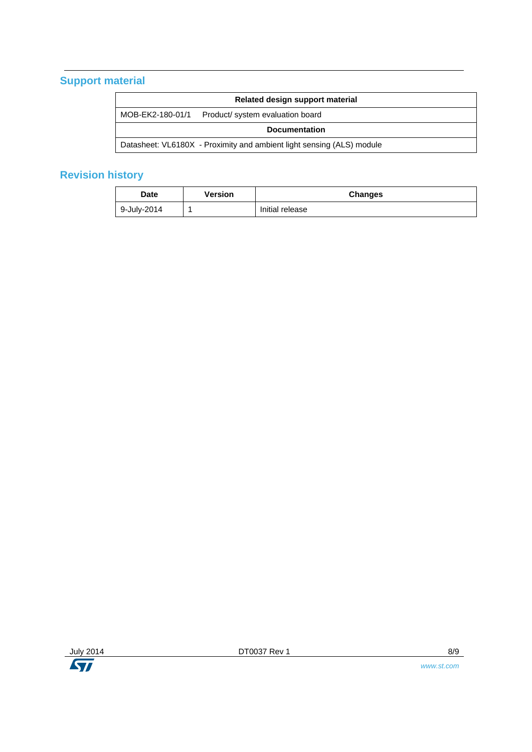## **Support material**

| Related design support material                                       |                                  |  |  |  |
|-----------------------------------------------------------------------|----------------------------------|--|--|--|
| MOB-EK2-180-01/1                                                      | Product/ system evaluation board |  |  |  |
| <b>Documentation</b>                                                  |                                  |  |  |  |
| Datasheet: VL6180X - Proximity and ambient light sensing (ALS) module |                                  |  |  |  |

## **Revision history**

| <b>Date</b> | Version | <b>Changes</b>  |
|-------------|---------|-----------------|
| 9-July-2014 |         | Initial release |